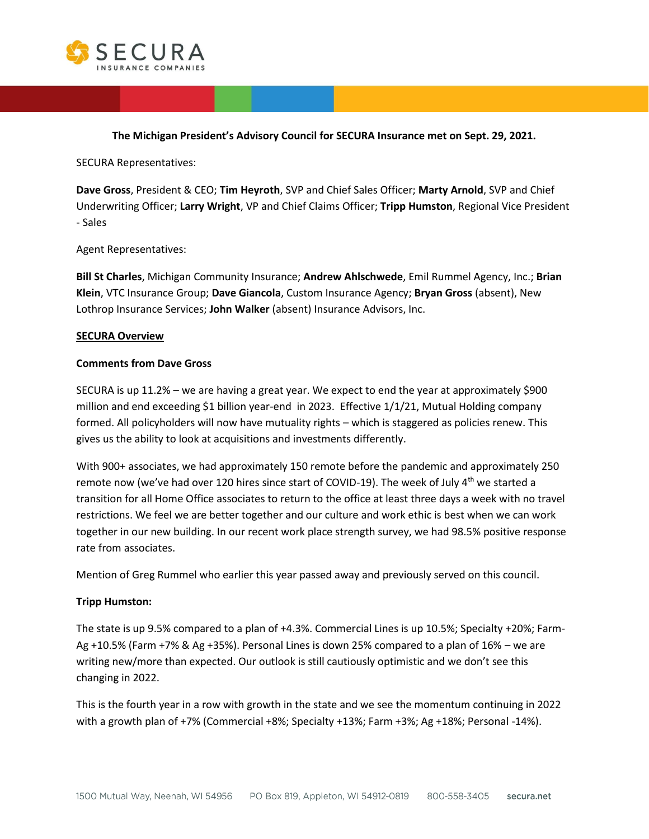

**The Michigan President's Advisory Council for SECURA Insurance met on Sept. 29, 2021.**

SECURA Representatives:

**Dave Gross**, President & CEO; **Tim Heyroth**, SVP and Chief Sales Officer; **Marty Arnold**, SVP and Chief Underwriting Officer; **Larry Wright**, VP and Chief Claims Officer; **Tripp Humston**, Regional Vice President - Sales

Agent Representatives:

**Bill St Charles**, Michigan Community Insurance; **Andrew Ahlschwede**, Emil Rummel Agency, Inc.; **Brian Klein**, VTC Insurance Group; **Dave Giancola**, Custom Insurance Agency; **Bryan Gross** (absent), New Lothrop Insurance Services; **John Walker** (absent) Insurance Advisors, Inc.

### **SECURA Overview**

#### **Comments from Dave Gross**

SECURA is up 11.2% – we are having a great year. We expect to end the year at approximately \$900 million and end exceeding \$1 billion year-end in 2023. Effective 1/1/21, Mutual Holding company formed. All policyholders will now have mutuality rights – which is staggered as policies renew. This gives us the ability to look at acquisitions and investments differently.

With 900+ associates, we had approximately 150 remote before the pandemic and approximately 250 remote now (we've had over 120 hires since start of COVID-19). The week of July  $4^{\text{th}}$  we started a transition for all Home Office associates to return to the office at least three days a week with no travel restrictions. We feel we are better together and our culture and work ethic is best when we can work together in our new building. In our recent work place strength survey, we had 98.5% positive response rate from associates.

Mention of Greg Rummel who earlier this year passed away and previously served on this council.

### **Tripp Humston:**

The state is up 9.5% compared to a plan of +4.3%. Commercial Lines is up 10.5%; Specialty +20%; Farm-Ag +10.5% (Farm +7% & Ag +35%). Personal Lines is down 25% compared to a plan of 16% – we are writing new/more than expected. Our outlook is still cautiously optimistic and we don't see this changing in 2022.

This is the fourth year in a row with growth in the state and we see the momentum continuing in 2022 with a growth plan of +7% (Commercial +8%; Specialty +13%; Farm +3%; Ag +18%; Personal -14%).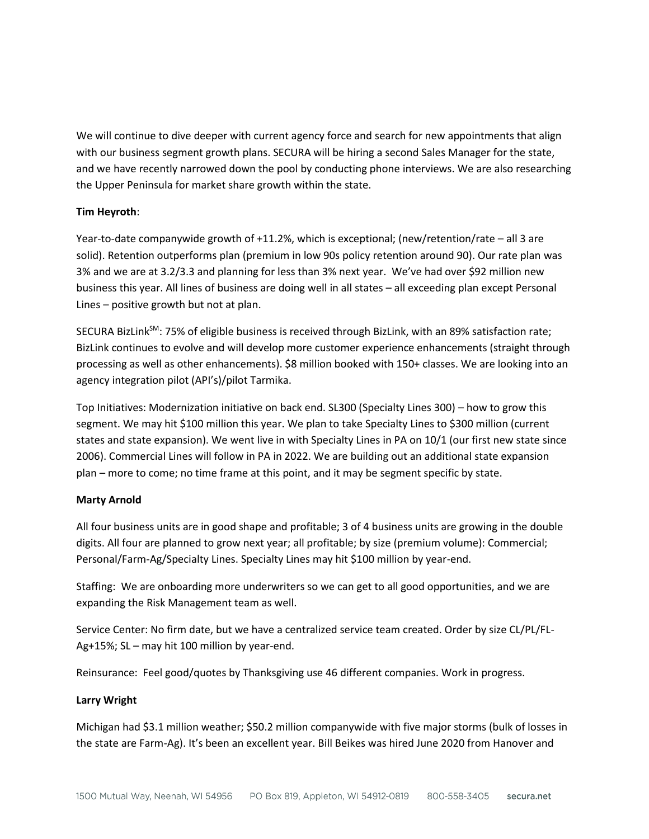We will continue to dive deeper with current agency force and search for new appointments that align with our business segment growth plans. SECURA will be hiring a second Sales Manager for the state, and we have recently narrowed down the pool by conducting phone interviews. We are also researching the Upper Peninsula for market share growth within the state.

## **Tim Heyroth**:

Year-to-date companywide growth of +11.2%, which is exceptional; (new/retention/rate – all 3 are solid). Retention outperforms plan (premium in low 90s policy retention around 90). Our rate plan was 3% and we are at 3.2/3.3 and planning for less than 3% next year. We've had over \$92 million new business this year. All lines of business are doing well in all states – all exceeding plan except Personal Lines – positive growth but not at plan.

SECURA BizLink<sup>SM</sup>: 75% of eligible business is received through BizLink, with an 89% satisfaction rate; BizLink continues to evolve and will develop more customer experience enhancements (straight through processing as well as other enhancements). \$8 million booked with 150+ classes. We are looking into an agency integration pilot (API's)/pilot Tarmika.

Top Initiatives: Modernization initiative on back end. SL300 (Specialty Lines 300) – how to grow this segment. We may hit \$100 million this year. We plan to take Specialty Lines to \$300 million (current states and state expansion). We went live in with Specialty Lines in PA on 10/1 (our first new state since 2006). Commercial Lines will follow in PA in 2022. We are building out an additional state expansion plan – more to come; no time frame at this point, and it may be segment specific by state.

## **Marty Arnold**

All four business units are in good shape and profitable; 3 of 4 business units are growing in the double digits. All four are planned to grow next year; all profitable; by size (premium volume): Commercial; Personal/Farm-Ag/Specialty Lines. Specialty Lines may hit \$100 million by year-end.

Staffing: We are onboarding more underwriters so we can get to all good opportunities, and we are expanding the Risk Management team as well.

Service Center: No firm date, but we have a centralized service team created. Order by size CL/PL/FL-Ag+15%; SL – may hit 100 million by year-end.

Reinsurance: Feel good/quotes by Thanksgiving use 46 different companies. Work in progress.

## **Larry Wright**

Michigan had \$3.1 million weather; \$50.2 million companywide with five major storms (bulk of losses in the state are Farm-Ag). It's been an excellent year. Bill Beikes was hired June 2020 from Hanover and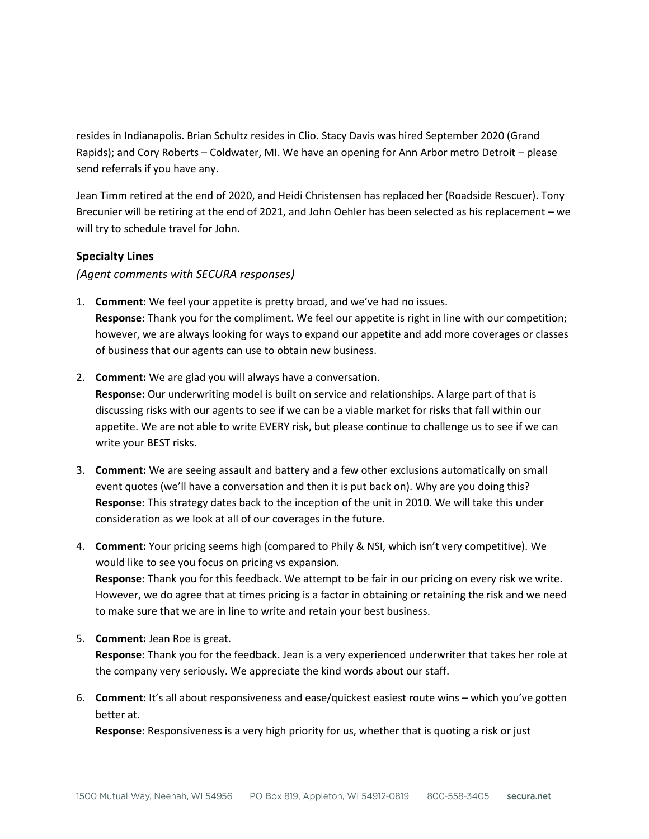resides in Indianapolis. Brian Schultz resides in Clio. Stacy Davis was hired September 2020 (Grand Rapids); and Cory Roberts – Coldwater, MI. We have an opening for Ann Arbor metro Detroit – please send referrals if you have any.

Jean Timm retired at the end of 2020, and Heidi Christensen has replaced her (Roadside Rescuer). Tony Brecunier will be retiring at the end of 2021, and John Oehler has been selected as his replacement – we will try to schedule travel for John.

# **Specialty Lines**

*(Agent comments with SECURA responses)*

- 1. **Comment:** We feel your appetite is pretty broad, and we've had no issues. **Response:** Thank you for the compliment. We feel our appetite is right in line with our competition; however, we are always looking for ways to expand our appetite and add more coverages or classes of business that our agents can use to obtain new business.
- 2. **Comment:** We are glad you will always have a conversation. **Response:** Our underwriting model is built on service and relationships. A large part of that is discussing risks with our agents to see if we can be a viable market for risks that fall within our appetite. We are not able to write EVERY risk, but please continue to challenge us to see if we can write your BEST risks.
- 3. **Comment:** We are seeing assault and battery and a few other exclusions automatically on small event quotes (we'll have a conversation and then it is put back on). Why are you doing this? **Response:** This strategy dates back to the inception of the unit in 2010. We will take this under consideration as we look at all of our coverages in the future.
- 4. **Comment:** Your pricing seems high (compared to Phily & NSI, which isn't very competitive). We would like to see you focus on pricing vs expansion. **Response:** Thank you for this feedback. We attempt to be fair in our pricing on every risk we write. However, we do agree that at times pricing is a factor in obtaining or retaining the risk and we need to make sure that we are in line to write and retain your best business.
- 5. **Comment:** Jean Roe is great. **Response:** Thank you for the feedback. Jean is a very experienced underwriter that takes her role at the company very seriously. We appreciate the kind words about our staff.
- 6. **Comment:** It's all about responsiveness and ease/quickest easiest route wins which you've gotten better at.

**Response:** Responsiveness is a very high priority for us, whether that is quoting a risk or just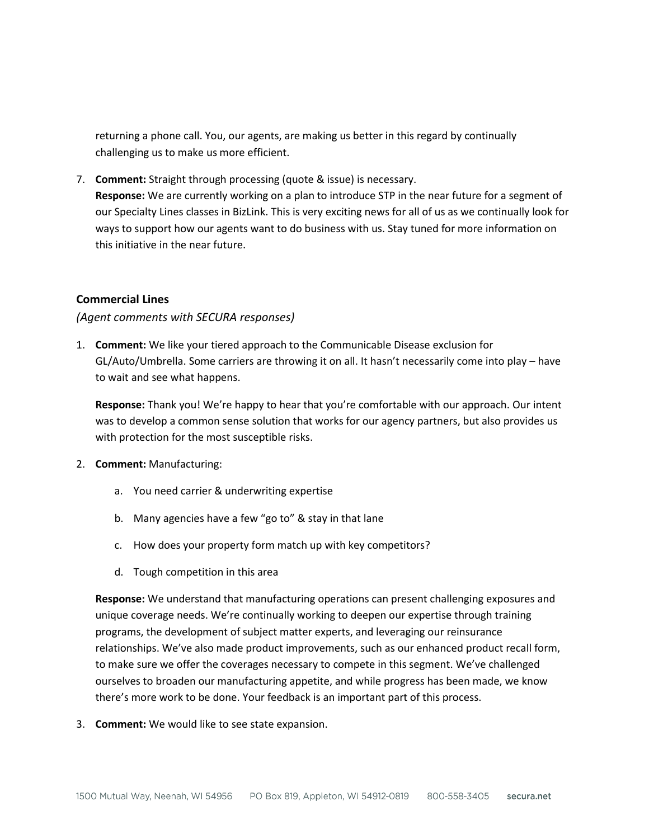returning a phone call. You, our agents, are making us better in this regard by continually challenging us to make us more efficient.

7. **Comment:** Straight through processing (quote & issue) is necessary. **Response:** We are currently working on a plan to introduce STP in the near future for a segment of our Specialty Lines classes in BizLink. This is very exciting news for all of us as we continually look for ways to support how our agents want to do business with us. Stay tuned for more information on this initiative in the near future.

## **Commercial Lines**

### *(Agent comments with SECURA responses)*

1. **Comment:** We like your tiered approach to the Communicable Disease exclusion for GL/Auto/Umbrella. Some carriers are throwing it on all. It hasn't necessarily come into play – have to wait and see what happens.

**Response:** Thank you! We're happy to hear that you're comfortable with our approach. Our intent was to develop a common sense solution that works for our agency partners, but also provides us with protection for the most susceptible risks.

- 2. **Comment:** Manufacturing:
	- a. You need carrier & underwriting expertise
	- b. Many agencies have a few "go to" & stay in that lane
	- c. How does your property form match up with key competitors?
	- d. Tough competition in this area

**Response:** We understand that manufacturing operations can present challenging exposures and unique coverage needs. We're continually working to deepen our expertise through training programs, the development of subject matter experts, and leveraging our reinsurance relationships. We've also made product improvements, such as our enhanced product recall form, to make sure we offer the coverages necessary to compete in this segment. We've challenged ourselves to broaden our manufacturing appetite, and while progress has been made, we know there's more work to be done. Your feedback is an important part of this process.

3. **Comment:** We would like to see state expansion.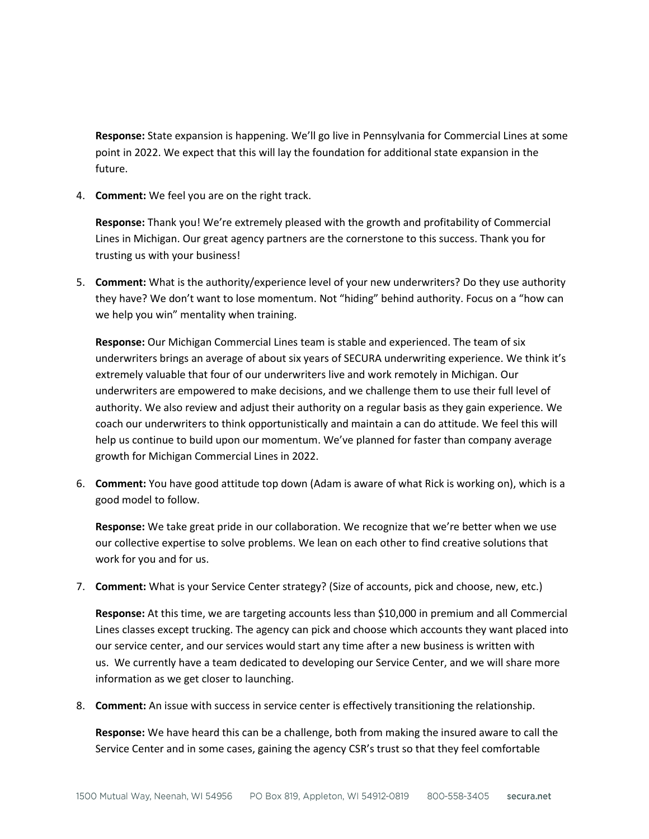**Response:** State expansion is happening. We'll go live in Pennsylvania for Commercial Lines at some point in 2022. We expect that this will lay the foundation for additional state expansion in the future.

4. **Comment:** We feel you are on the right track.

**Response:** Thank you! We're extremely pleased with the growth and profitability of Commercial Lines in Michigan. Our great agency partners are the cornerstone to this success. Thank you for trusting us with your business!

5. **Comment:** What is the authority/experience level of your new underwriters? Do they use authority they have? We don't want to lose momentum. Not "hiding" behind authority. Focus on a "how can we help you win" mentality when training.

**Response:** Our Michigan Commercial Lines team is stable and experienced. The team of six underwriters brings an average of about six years of SECURA underwriting experience. We think it's extremely valuable that four of our underwriters live and work remotely in Michigan. Our underwriters are empowered to make decisions, and we challenge them to use their full level of authority. We also review and adjust their authority on a regular basis as they gain experience. We coach our underwriters to think opportunistically and maintain a can do attitude. We feel this will help us continue to build upon our momentum. We've planned for faster than company average growth for Michigan Commercial Lines in 2022.

6. **Comment:** You have good attitude top down (Adam is aware of what Rick is working on), which is a good model to follow.

**Response:** We take great pride in our collaboration. We recognize that we're better when we use our collective expertise to solve problems. We lean on each other to find creative solutions that work for you and for us.

7. **Comment:** What is your Service Center strategy? (Size of accounts, pick and choose, new, etc.)

**Response:** At this time, we are targeting accounts less than \$10,000 in premium and all Commercial Lines classes except trucking. The agency can pick and choose which accounts they want placed into our service center, and our services would start any time after a new business is written with us. We currently have a team dedicated to developing our Service Center, and we will share more information as we get closer to launching.

8. **Comment:** An issue with success in service center is effectively transitioning the relationship.

**Response:** We have heard this can be a challenge, both from making the insured aware to call the Service Center and in some cases, gaining the agency CSR's trust so that they feel comfortable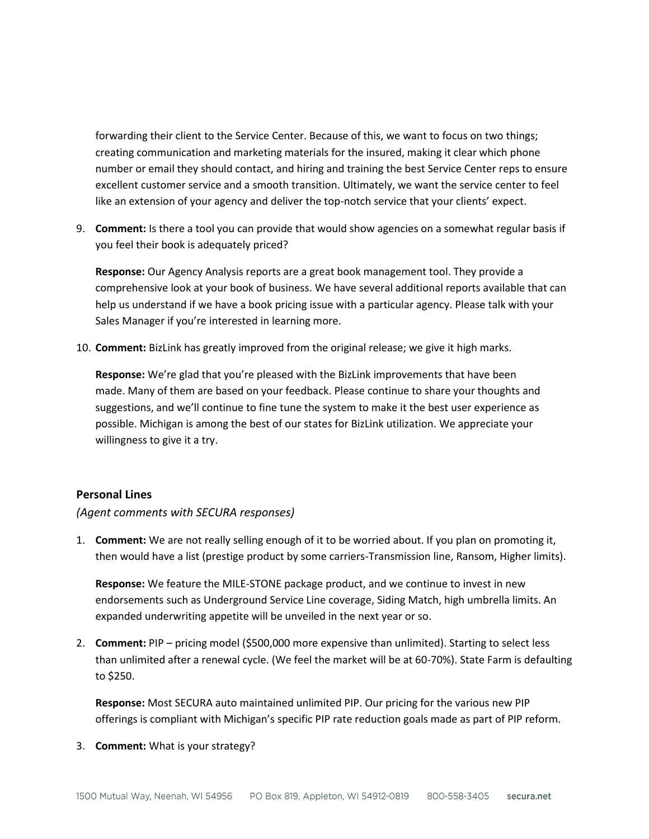forwarding their client to the Service Center. Because of this, we want to focus on two things; creating communication and marketing materials for the insured, making it clear which phone number or email they should contact, and hiring and training the best Service Center reps to ensure excellent customer service and a smooth transition. Ultimately, we want the service center to feel like an extension of your agency and deliver the top-notch service that your clients' expect.

9. **Comment:** Is there a tool you can provide that would show agencies on a somewhat regular basis if you feel their book is adequately priced?

**Response:** Our Agency Analysis reports are a great book management tool. They provide a comprehensive look at your book of business. We have several additional reports available that can help us understand if we have a book pricing issue with a particular agency. Please talk with your Sales Manager if you're interested in learning more.

10. **Comment:** BizLink has greatly improved from the original release; we give it high marks.

**Response:** We're glad that you're pleased with the BizLink improvements that have been made. Many of them are based on your feedback. Please continue to share your thoughts and suggestions, and we'll continue to fine tune the system to make it the best user experience as possible. Michigan is among the best of our states for BizLink utilization. We appreciate your willingness to give it a try.

# **Personal Lines**

# *(Agent comments with SECURA responses)*

1. **Comment:** We are not really selling enough of it to be worried about. If you plan on promoting it, then would have a list (prestige product by some carriers-Transmission line, Ransom, Higher limits).

**Response:** We feature the MILE-STONE package product, and we continue to invest in new endorsements such as Underground Service Line coverage, Siding Match, high umbrella limits. An expanded underwriting appetite will be unveiled in the next year or so.

2. **Comment:** PIP – pricing model (\$500,000 more expensive than unlimited). Starting to select less than unlimited after a renewal cycle. (We feel the market will be at 60-70%). State Farm is defaulting to \$250.

**Response:** Most SECURA auto maintained unlimited PIP. Our pricing for the various new PIP offerings is compliant with Michigan's specific PIP rate reduction goals made as part of PIP reform.

3. **Comment:** What is your strategy?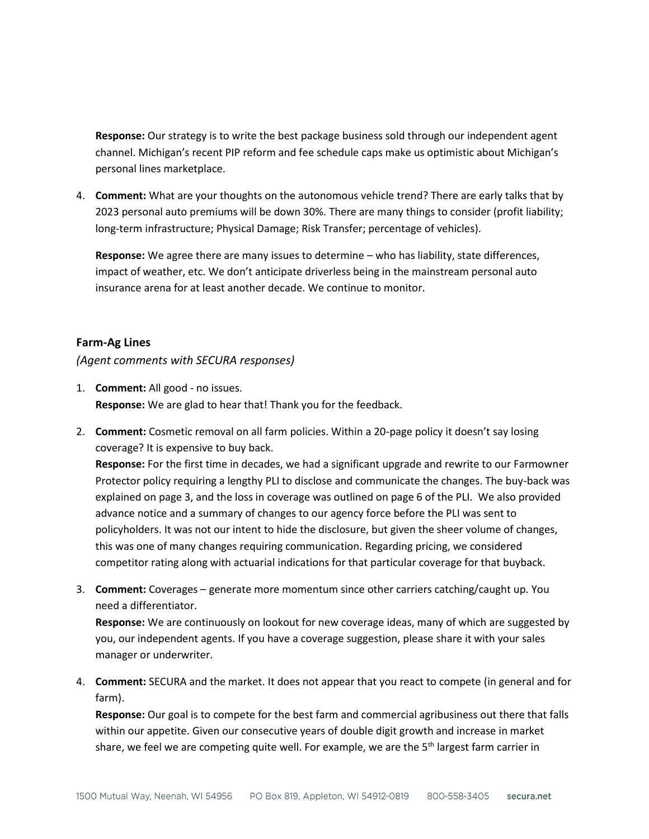**Response:** Our strategy is to write the best package business sold through our independent agent channel. Michigan's recent PIP reform and fee schedule caps make us optimistic about Michigan's personal lines marketplace.

4. **Comment:** What are your thoughts on the autonomous vehicle trend? There are early talks that by 2023 personal auto premiums will be down 30%. There are many things to consider (profit liability; long-term infrastructure; Physical Damage; Risk Transfer; percentage of vehicles).

**Response:** We agree there are many issues to determine – who has liability, state differences, impact of weather, etc. We don't anticipate driverless being in the mainstream personal auto insurance arena for at least another decade. We continue to monitor.

## **Farm-Ag Lines**

## *(Agent comments with SECURA responses)*

- 1. **Comment:** All good no issues. **Response:** We are glad to hear that! Thank you for the feedback.
- 2. **Comment:** Cosmetic removal on all farm policies. Within a 20-page policy it doesn't say losing coverage? It is expensive to buy back. **Response:** For the first time in decades, we had a significant upgrade and rewrite to our Farmowner Protector policy requiring a lengthy PLI to disclose and communicate the changes. The buy-back was explained on page 3, and the loss in coverage was outlined on page 6 of the PLI. We also provided advance notice and a summary of changes to our agency force before the PLI was sent to policyholders. It was not our intent to hide the disclosure, but given the sheer volume of changes, this was one of many changes requiring communication. Regarding pricing, we considered competitor rating along with actuarial indications for that particular coverage for that buyback.
- 3. **Comment:** Coverages generate more momentum since other carriers catching/caught up. You need a differentiator.

**Response:** We are continuously on lookout for new coverage ideas, many of which are suggested by you, our independent agents. If you have a coverage suggestion, please share it with your sales manager or underwriter.

4. **Comment:** SECURA and the market. It does not appear that you react to compete (in general and for farm).

**Response:** Our goal is to compete for the best farm and commercial agribusiness out there that falls within our appetite. Given our consecutive years of double digit growth and increase in market share, we feel we are competing quite well. For example, we are the  $5<sup>th</sup>$  largest farm carrier in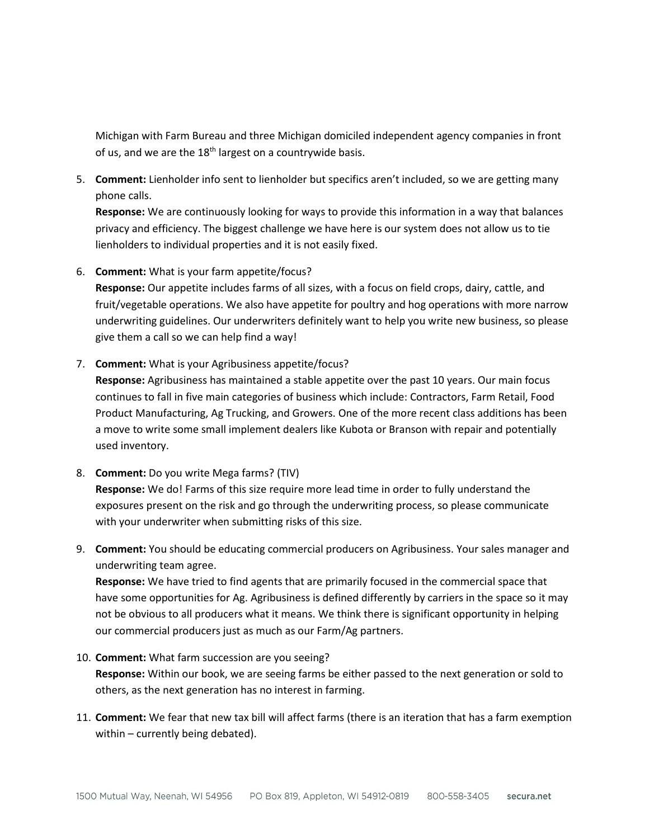Michigan with Farm Bureau and three Michigan domiciled independent agency companies in front of us, and we are the  $18<sup>th</sup>$  largest on a countrywide basis.

5. **Comment:** Lienholder info sent to lienholder but specifics aren't included, so we are getting many phone calls.

**Response:** We are continuously looking for ways to provide this information in a way that balances privacy and efficiency. The biggest challenge we have here is our system does not allow us to tie lienholders to individual properties and it is not easily fixed.

6. **Comment:** What is your farm appetite/focus?

**Response:** Our appetite includes farms of all sizes, with a focus on field crops, dairy, cattle, and fruit/vegetable operations. We also have appetite for poultry and hog operations with more narrow underwriting guidelines. Our underwriters definitely want to help you write new business, so please give them a call so we can help find a way!

7. **Comment:** What is your Agribusiness appetite/focus?

**Response:** Agribusiness has maintained a stable appetite over the past 10 years. Our main focus continues to fall in five main categories of business which include: Contractors, Farm Retail, Food Product Manufacturing, Ag Trucking, and Growers. One of the more recent class additions has been a move to write some small implement dealers like Kubota or Branson with repair and potentially used inventory.

- 8. **Comment:** Do you write Mega farms? (TIV) **Response:** We do! Farms of this size require more lead time in order to fully understand the exposures present on the risk and go through the underwriting process, so please communicate with your underwriter when submitting risks of this size.
- 9. **Comment:** You should be educating commercial producers on Agribusiness. Your sales manager and underwriting team agree.

**Response:** We have tried to find agents that are primarily focused in the commercial space that have some opportunities for Ag. Agribusiness is defined differently by carriers in the space so it may not be obvious to all producers what it means. We think there is significant opportunity in helping our commercial producers just as much as our Farm/Ag partners.

- 10. **Comment:** What farm succession are you seeing? **Response:** Within our book, we are seeing farms be either passed to the next generation or sold to others, as the next generation has no interest in farming.
- 11. **Comment:** We fear that new tax bill will affect farms (there is an iteration that has a farm exemption within – currently being debated).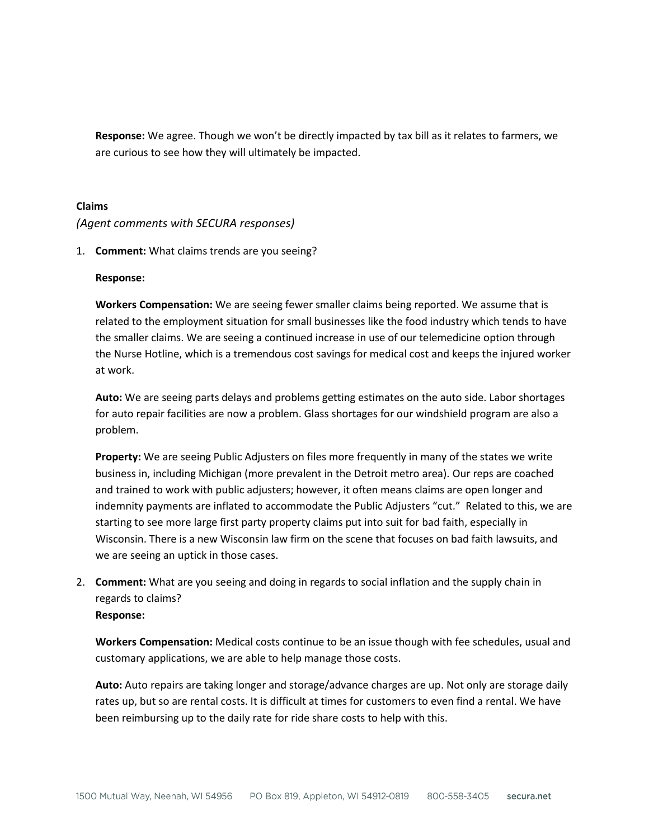**Response:** We agree. Though we won't be directly impacted by tax bill as it relates to farmers, we are curious to see how they will ultimately be impacted.

### **Claims**

### *(Agent comments with SECURA responses)*

1. **Comment:** What claims trends are you seeing?

### **Response:**

**Workers Compensation:** We are seeing fewer smaller claims being reported. We assume that is related to the employment situation for small businesses like the food industry which tends to have the smaller claims. We are seeing a continued increase in use of our telemedicine option through the Nurse Hotline, which is a tremendous cost savings for medical cost and keeps the injured worker at work.

**Auto:** We are seeing parts delays and problems getting estimates on the auto side. Labor shortages for auto repair facilities are now a problem. Glass shortages for our windshield program are also a problem.

**Property:** We are seeing Public Adjusters on files more frequently in many of the states we write business in, including Michigan (more prevalent in the Detroit metro area). Our reps are coached and trained to work with public adjusters; however, it often means claims are open longer and indemnity payments are inflated to accommodate the Public Adjusters "cut." Related to this, we are starting to see more large first party property claims put into suit for bad faith, especially in Wisconsin. There is a new Wisconsin law firm on the scene that focuses on bad faith lawsuits, and we are seeing an uptick in those cases.

2. **Comment:** What are you seeing and doing in regards to social inflation and the supply chain in regards to claims? **Response:** 

**Workers Compensation:** Medical costs continue to be an issue though with fee schedules, usual and customary applications, we are able to help manage those costs.

**Auto:** Auto repairs are taking longer and storage/advance charges are up. Not only are storage daily rates up, but so are rental costs. It is difficult at times for customers to even find a rental. We have been reimbursing up to the daily rate for ride share costs to help with this.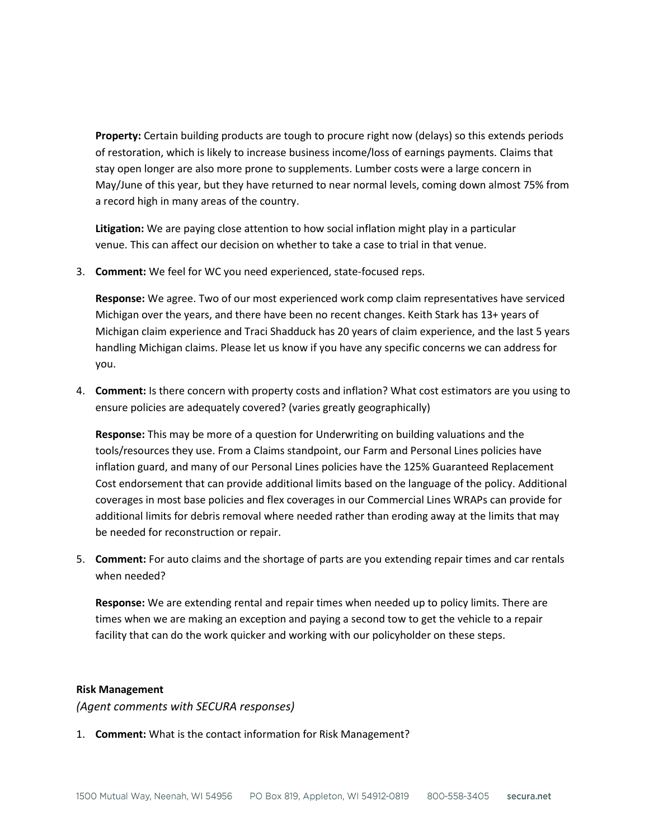**Property:** Certain building products are tough to procure right now (delays) so this extends periods of restoration, which is likely to increase business income/loss of earnings payments. Claims that stay open longer are also more prone to supplements. Lumber costs were a large concern in May/June of this year, but they have returned to near normal levels, coming down almost 75% from a record high in many areas of the country.

**Litigation:** We are paying close attention to how social inflation might play in a particular venue. This can affect our decision on whether to take a case to trial in that venue.

3. **Comment:** We feel for WC you need experienced, state-focused reps.

**Response:** We agree. Two of our most experienced work comp claim representatives have serviced Michigan over the years, and there have been no recent changes. Keith Stark has 13+ years of Michigan claim experience and Traci Shadduck has 20 years of claim experience, and the last 5 years handling Michigan claims. Please let us know if you have any specific concerns we can address for you.

4. **Comment:** Is there concern with property costs and inflation? What cost estimators are you using to ensure policies are adequately covered? (varies greatly geographically)

**Response:** This may be more of a question for Underwriting on building valuations and the tools/resources they use. From a Claims standpoint, our Farm and Personal Lines policies have inflation guard, and many of our Personal Lines policies have the 125% Guaranteed Replacement Cost endorsement that can provide additional limits based on the language of the policy. Additional coverages in most base policies and flex coverages in our Commercial Lines WRAPs can provide for additional limits for debris removal where needed rather than eroding away at the limits that may be needed for reconstruction or repair.

5. **Comment:** For auto claims and the shortage of parts are you extending repair times and car rentals when needed?

**Response:** We are extending rental and repair times when needed up to policy limits. There are times when we are making an exception and paying a second tow to get the vehicle to a repair facility that can do the work quicker and working with our policyholder on these steps.

### **Risk Management**

*(Agent comments with SECURA responses)*

1. **Comment:** What is the contact information for Risk Management?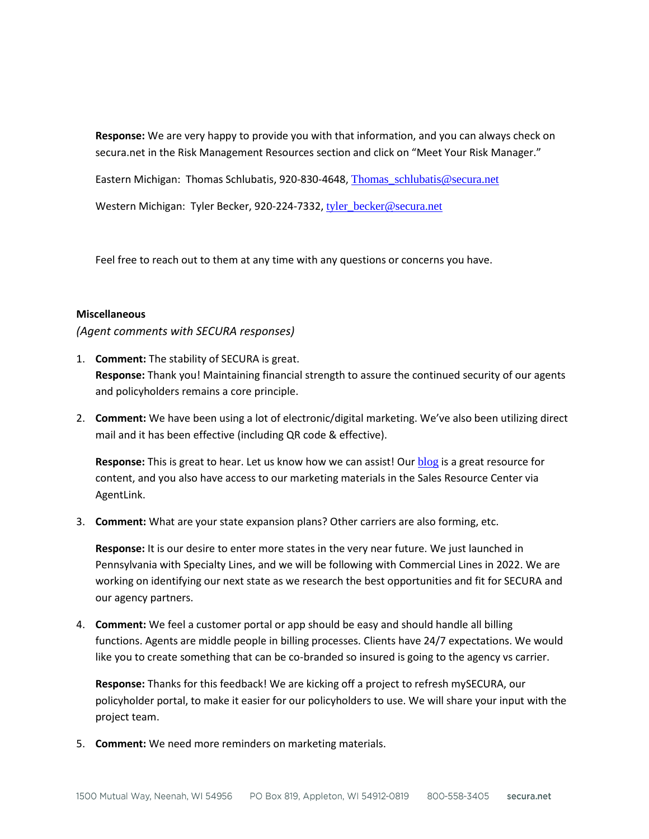**Response:** We are very happy to provide you with that information, and you can always check on secura.net in the Risk Management Resources section and click on "Meet Your Risk Manager."

Eastern Michigan: Thomas Schlubatis, 920-830-4648, [Thomas\\_schlubatis@secura.net](mailto:Thomas_schlubatis@secura.net)

Western Michigan: Tyler Becker, 920-224-7332, [tyler\\_becker@secura.net](mailto:tyler_becker@secura.net)

Feel free to reach out to them at any time with any questions or concerns you have.

### **Miscellaneous**

*(Agent comments with SECURA responses)*

- 1. **Comment:** The stability of SECURA is great. **Response:** Thank you! Maintaining financial strength to assure the continued security of our agents and policyholders remains a core principle.
- 2. **Comment:** We have been using a lot of electronic/digital marketing. We've also been utilizing direct mail and it has been effective (including QR code & effective).

**Response:** This is great to hear. Let us know how we can assist! Our [blog](https://www.secura.net/blogs/) is a great resource for content, and you also have access to our marketing materials in the Sales Resource Center via AgentLink.

3. **Comment:** What are your state expansion plans? Other carriers are also forming, etc.

**Response:** It is our desire to enter more states in the very near future. We just launched in Pennsylvania with Specialty Lines, and we will be following with Commercial Lines in 2022. We are working on identifying our next state as we research the best opportunities and fit for SECURA and our agency partners.

4. **Comment:** We feel a customer portal or app should be easy and should handle all billing functions. Agents are middle people in billing processes. Clients have 24/7 expectations. We would like you to create something that can be co-branded so insured is going to the agency vs carrier.

**Response:** Thanks for this feedback! We are kicking off a project to refresh mySECURA, our policyholder portal, to make it easier for our policyholders to use. We will share your input with the project team.

5. **Comment:** We need more reminders on marketing materials.